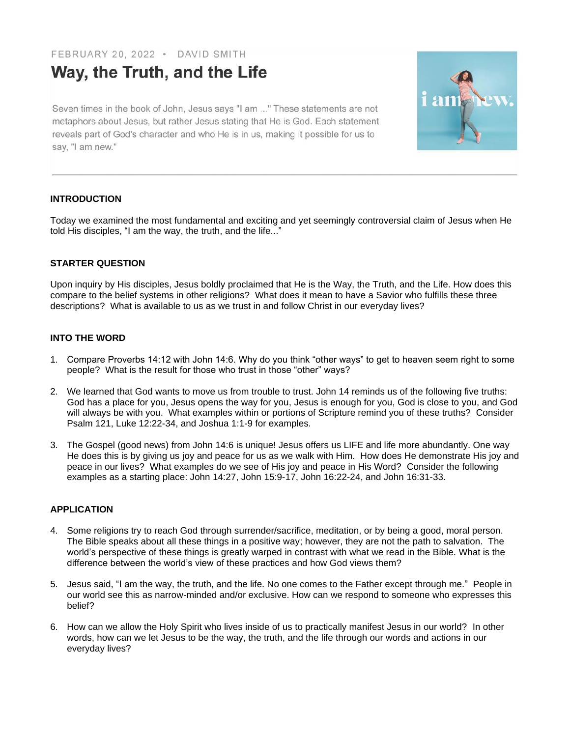FEBRUARY 20, 2022 · DAVID SMITH

# Way, the Truth, and the Life

Seven times in the book of John, Jesus says "I am ..." These statements are not metaphors about Jesus, but rather Jesus stating that He is God. Each statement reveals part of God's character and who He is in us, making it possible for us to say, "I am new."



## **INTRODUCTION**

Today we examined the most fundamental and exciting and yet seemingly controversial claim of Jesus when He told His disciples, "I am the way, the truth, and the life..."

# **STARTER QUESTION**

Upon inquiry by His disciples, Jesus boldly proclaimed that He is the Way, the Truth, and the Life. How does this compare to the belief systems in other religions? What does it mean to have a Savior who fulfills these three descriptions? What is available to us as we trust in and follow Christ in our everyday lives?

# **INTO THE WORD**

- 1. Compare Proverbs 14:12 with John 14:6. Why do you think "other ways" to get to heaven seem right to some people? What is the result for those who trust in those "other" ways?
- 2. We learned that God wants to move us from trouble to trust. John 14 reminds us of the following five truths: God has a place for you, Jesus opens the way for you, Jesus is enough for you, God is close to you, and God will always be with you. What examples within or portions of Scripture remind you of these truths? Consider Psalm 121, Luke 12:22-34, and Joshua 1:1-9 for examples.
- 3. The Gospel (good news) from John 14:6 is unique! Jesus offers us LIFE and life more abundantly. One way He does this is by giving us joy and peace for us as we walk with Him. How does He demonstrate His joy and peace in our lives? What examples do we see of His joy and peace in His Word? Consider the following examples as a starting place: John 14:27, John 15:9-17, John 16:22-24, and John 16:31-33.

## **APPLICATION**

- 4. Some religions try to reach God through surrender/sacrifice, meditation, or by being a good, moral person. The Bible speaks about all these things in a positive way; however, they are not the path to salvation. The world's perspective of these things is greatly warped in contrast with what we read in the Bible. What is the difference between the world's view of these practices and how God views them?
- 5. Jesus said, "I am the way, the truth, and the life. No one comes to the Father except through me." People in our world see this as narrow-minded and/or exclusive. How can we respond to someone who expresses this belief?
- 6. How can we allow the Holy Spirit who lives inside of us to practically manifest Jesus in our world? In other words, how can we let Jesus to be the way, the truth, and the life through our words and actions in our everyday lives?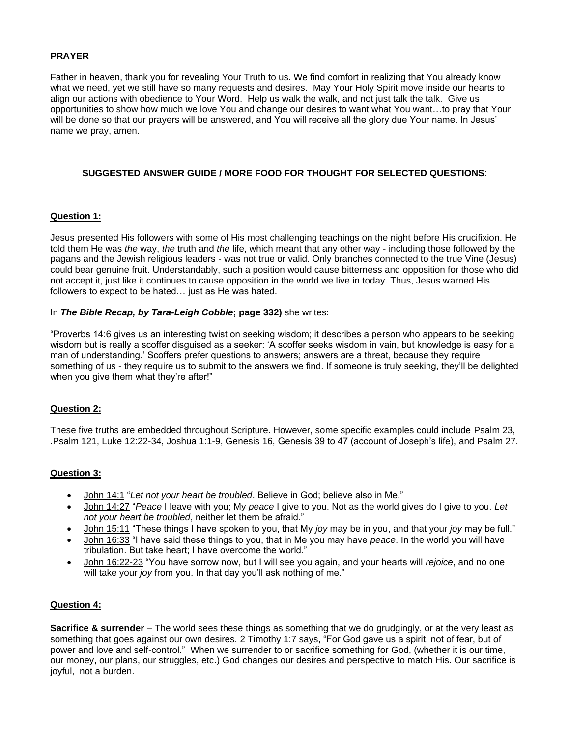#### **PRAYER**

Father in heaven, thank you for revealing Your Truth to us. We find comfort in realizing that You already know what we need, yet we still have so many requests and desires. May Your Holy Spirit move inside our hearts to align our actions with obedience to Your Word. Help us walk the walk, and not just talk the talk. Give us opportunities to show how much we love You and change our desires to want what You want…to pray that Your will be done so that our prayers will be answered, and You will receive all the glory due Your name. In Jesus' name we pray, amen.

## **SUGGESTED ANSWER GUIDE / MORE FOOD FOR THOUGHT FOR SELECTED QUESTIONS**:

#### **Question 1:**

Jesus presented His followers with some of His most challenging teachings on the night before His crucifixion. He told them He was *the* way, *the* truth and *the* life, which meant that any other way - including those followed by the pagans and the Jewish religious leaders - was not true or valid. Only branches connected to the true Vine (Jesus) could bear genuine fruit. Understandably, such a position would cause bitterness and opposition for those who did not accept it, just like it continues to cause opposition in the world we live in today. Thus, Jesus warned His followers to expect to be hated… just as He was hated.

#### In *The Bible Recap, by Tara-Leigh Cobble***; page 332)** she writes:

"Proverbs 14:6 gives us an interesting twist on seeking wisdom; it describes a person who appears to be seeking wisdom but is really a scoffer disguised as a seeker: 'A scoffer seeks wisdom in vain, but knowledge is easy for a man of understanding.' Scoffers prefer questions to answers; answers are a threat, because they require something of us - they require us to submit to the answers we find. If someone is truly seeking, they'll be delighted when you give them what they're after!"

## **Question 2:**

These five truths are embedded throughout Scripture. However, some specific examples could include Psalm 23, .Psalm 121, Luke 12:22-34, Joshua 1:1-9, Genesis 16, Genesis 39 to 47 (account of Joseph's life), and Psalm 27.

## **Question 3:**

- John 14:1 "*Let not your heart be troubled*. Believe in God; believe also in Me."
- John 14:27 "*Peace* I leave with you; My *peace* I give to you. Not as the world gives do I give to you. *Let not your heart be troubled*, neither let them be afraid."
- John 15:11 "These things I have spoken to you, that My *joy* may be in you, and that your *joy* may be full."
- John 16:33 "I have said these things to you, that in Me you may have *peace*. In the world you will have tribulation. But take heart; I have overcome the world."
- John 16:22-23 "You have sorrow now, but I will see you again, and your hearts will *rejoice*, and no one will take your *joy* from you. In that day you'll ask nothing of me."

## **Question 4:**

**Sacrifice & surrender** – The world sees these things as something that we do grudgingly, or at the very least as something that goes against our own desires. 2 Timothy 1:7 says, "For God gave us a spirit, not of fear, but of power and love and self-control." When we surrender to or sacrifice something for God, (whether it is our time, our money, our plans, our struggles, etc.) God changes our desires and perspective to match His. Our sacrifice is joyful, not a burden.